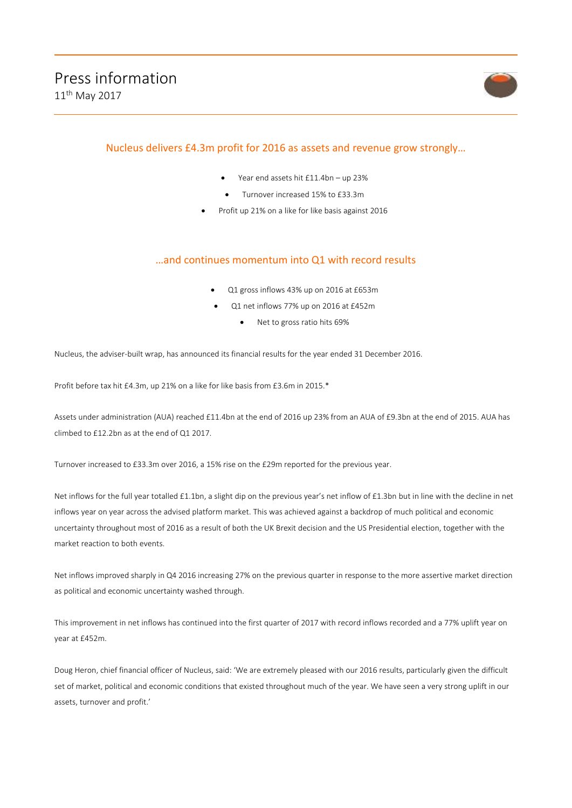

# Nucleus delivers £4.3m profit for 2016 as assets and revenue grow strongly…

- Year end assets hit £11.4bn up 23%
	- Turnover increased 15% to £33.3m
- Profit up 21% on a like for like basis against 2016

## …and continues momentum into Q1 with record results

- Q1 gross inflows 43% up on 2016 at £653m
- Q1 net inflows 77% up on 2016 at £452m
	- Net to gross ratio hits 69%

Nucleus, the adviser-built wrap, has announced its financial results for the year ended 31 December 2016.

Profit before tax hit £4.3m, up 21% on a like for like basis from £3.6m in 2015.\*

Assets under administration (AUA) reached £11.4bn at the end of 2016 up 23% from an AUA of £9.3bn at the end of 2015. AUA has climbed to £12.2bn as at the end of Q1 2017.

Turnover increased to £33.3m over 2016, a 15% rise on the £29m reported for the previous year.

Net inflows for the full year totalled £1.1bn, a slight dip on the previous year's net inflow of £1.3bn but in line with the decline in net inflows year on year across the advised platform market. This was achieved against a backdrop of much political and economic uncertainty throughout most of 2016 as a result of both the UK Brexit decision and the US Presidential election, together with the market reaction to both events.

Net inflows improved sharply in Q4 2016 increasing 27% on the previous quarter in response to the more assertive market direction as political and economic uncertainty washed through.

This improvement in net inflows has continued into the first quarter of 2017 with record inflows recorded and a 77% uplift year on year at £452m.

Doug Heron, chief financial officer of Nucleus, said: 'We are extremely pleased with our 2016 results, particularly given the difficult set of market, political and economic conditions that existed throughout much of the year. We have seen a very strong uplift in our assets, turnover and profit.'